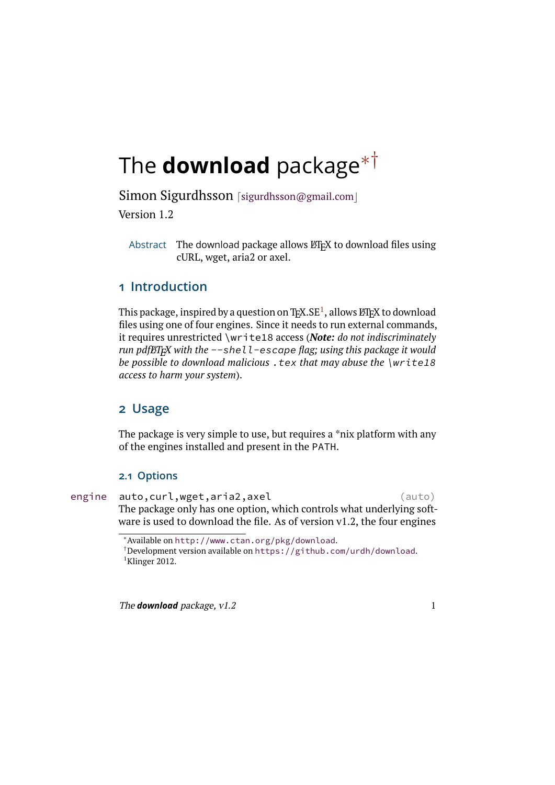# <span id="page-0-3"></span>The **download** package[∗](#page-0-0)[†](#page-0-1)

Simon Sigurdhsson [[sigurdhsson@gmail.com](mailto:sigurdhsson@gmail.com)] Version 1.2

Abstract The download package allows  $\mathbb{F}$ F<sub>E</sub>X to download files using cURL, wget, aria2 or axel.

# **1 Introduction**

This package, inspired by a question on T<sub>E</sub>X.SE<sup>[1](#page-0-2)</sup>, allows LT<sub>E</sub>X to download files using one of four engines. Since it needs to run external commands, it requires unrestricted \write18 access (*Note: do not indiscriminately run pdfLATEX with the* --shell-escape *flag; using this package it would be possible to download malicious* .tex *that may abuse the* \write18 *access to harm your system*).

# **2 Usage**

The package is very simple to use, but requires a \*nix platform with any of the engines installed and present in the PATH.

#### **2.1 Options**

engine auto, curl, wget, aria2, axel (auto) The package only has one option, which controls what underlying software is used to download the file. As of version v1.2, the four engines

<span id="page-0-0"></span><sup>∗</sup>Available on <http://www.ctan.org/pkg/download>.

<span id="page-0-2"></span><span id="page-0-1"></span><sup>†</sup>Development version available on <https://github.com/urdh/download>.  ${}^{1}$ Klinger [2012.](#page-12-0)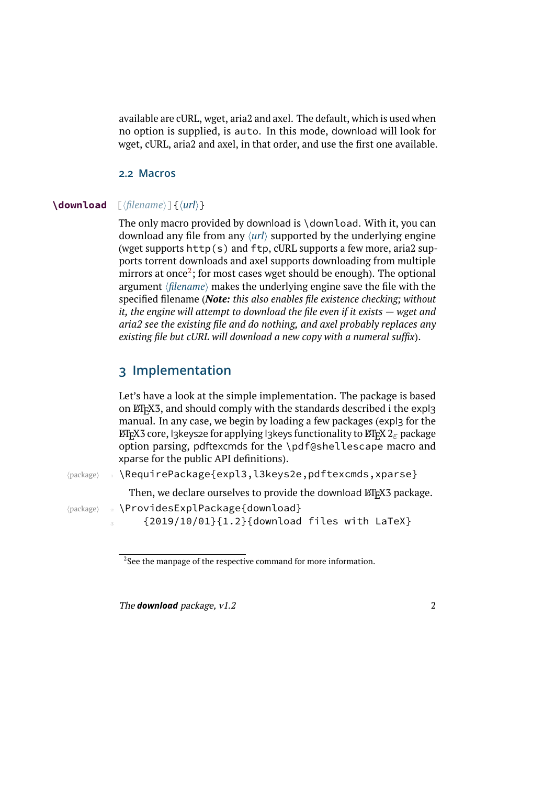<span id="page-1-2"></span>available are cURL, wget, aria2 and axel. The default, which is used when no option is supplied, is auto. In this mode, download will look for wget, cURL, aria2 and axel, in that order, and use the first one available.

#### <span id="page-1-1"></span>**2.2 Macros**

#### **\download**  $\lceil$  *{filename*}  $\lceil$  *{ \url*} }

The only macro provided by download is \download. With it, you can download any file from any  $\langle url \rangle$  supported by the underlying engine (wget supports http(s) and ftp, cURL supports a few more, aria2 supports torrent downloads and axel supports downloading from multiple mirrors at once $^2$  $^2$ ; for most cases wget should be enough). The optional argument *(filename)* makes the underlying engine save the file with the specified filename (*Note: this also enables file existence checking; without it, the engine will attempt to download the file even if it exists — wget and aria2 see the existing file and do nothing, and axel probably replaces any existing file but cURL will download a new copy with a numeral suffix*).

### **3 Implementation**

Let's have a look at the simple implementation. The package is based on LATEX3, and should comply with the standards described i the expl3 manual. In any case, we begin by loading a few packages (expl3 for the EΠ<sub>Ε</sub>Χ3 core, l3keys2e for applying l3keys functionality to EΠΕΧ 2<sub>ε</sub> package option parsing, pdftexcmds for the \pdf@shellescape macro and xparse for the public API definitions).

(package)  $\Box$  \RequirePackage{expl3,l3keys2e,pdftexcmds,xparse}

Then, we declare ourselves to provide the download ETEX3 package.

hpackagei \ProvidesExplPackage{download}

{2019/10/01}{1.2}{download files with LaTeX}

<span id="page-1-0"></span> $2$ See the manpage of the respective command for more information.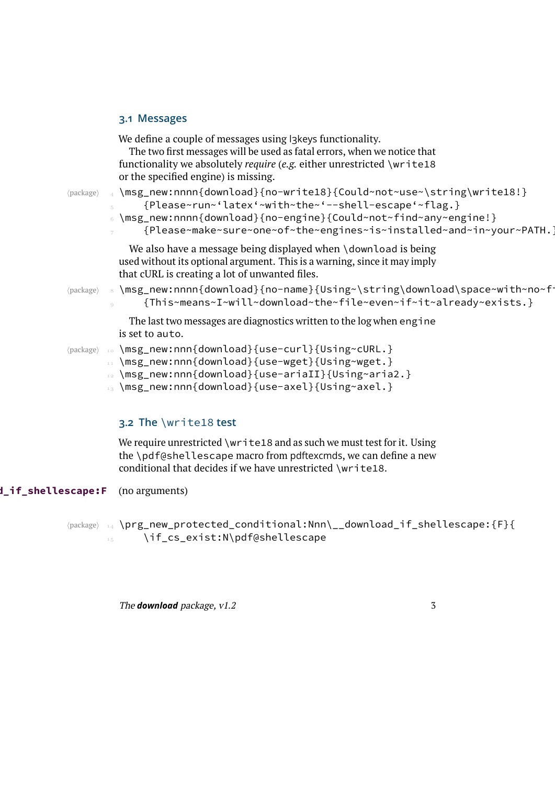#### <span id="page-2-0"></span>**3.1 Messages**

|                             | We define a couple of messages using l3keys functionality.<br>The two first messages will be used as fatal errors, when we notice that<br>functionality we absolutely <i>require</i> ( <i>e.g.</i> either unrestricted \write18<br>or the specified engine) is missing. |
|-----------------------------|-------------------------------------------------------------------------------------------------------------------------------------------------------------------------------------------------------------------------------------------------------------------------|
| $\langle$ package $\rangle$ | \msg_new:nnnn{download}{no-write18}{Could~not~use~\string\write18!}<br>{Please~run~'latex'~with~the~'--shell-escape'~flag.}<br>\msg_new:nnnn{download}{no-engine}{Could~not~find~any~engine!}<br>{Please~make~sure~one~of~the~engines~is~installed~and~in~your~PATH.]   |
|                             | We also have a message being displayed when \download is being<br>used without its optional argument. This is a warning, since it may imply<br>that cURL is creating a lot of unwanted files.                                                                           |
| $\langle$ package $\rangle$ | s \msg_new:nnnn{download}{no-name}{Using~\string\download\space~with~no~f<br>{This~means~I~will~download~the~file~even~if~it~already~exists.}                                                                                                                           |
|                             | The last two messages are diagnostics written to the log when engine<br>is set to auto.                                                                                                                                                                                 |
| $\langle$ package $\rangle$ | \msg_new:nnn{download}{use-curl}{Using~cURL.}<br>$10$<br>\msg_new:nnn{download}{use-wget}{Using~wget.}<br>11<br>\msg_new:nnn{download}{use-ariaII}{Using~aria2.}<br>12 <sup>12</sup><br>\msg_new:nnn{download}{use-axel}{Using~axel.}                                   |
|                             |                                                                                                                                                                                                                                                                         |

## **3.2 The** \write18 **test**

We require unrestricted \write18 and as such we must test for it. Using the \pdf@shellescape macro from pdftexcmds, we can define a new conditional that decides if we have unrestricted \write18.

**d\_if\_shellescape:F** (no arguments)

hpackagei \prg\_new\_protected\_conditional:Nnn\\_\_download\_if\_shellescape:{F}{ \if\_cs\_exist:N\pdf@shellescape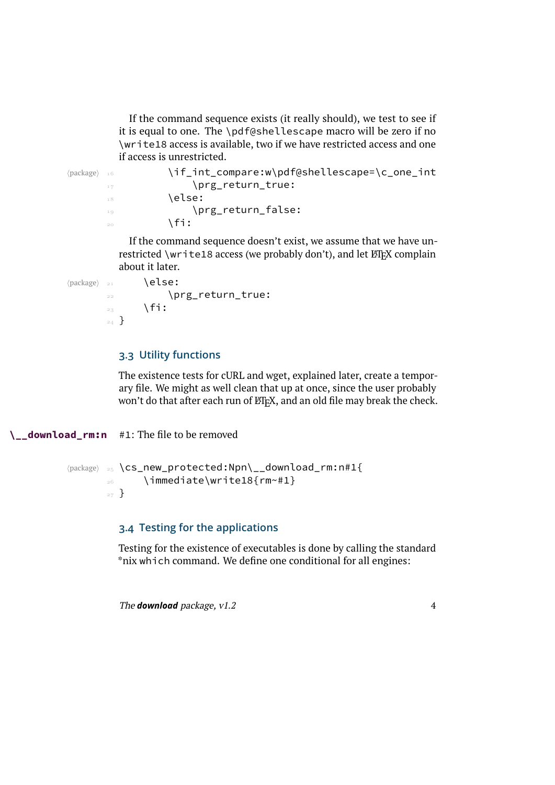<span id="page-3-0"></span>If the command sequence exists (it really should), we test to see if it is equal to one. The \pdf@shellescape macro will be zero if no \write18 access is available, two if we have restricted access and one if access is unrestricted.

 $\langle$   $\rangle$   $\rangle$   $\in$   $\in$   $\mathbb{R}$   $\in$   $\mathbb{R}$   $\in$   $\mathbb{R}$   $\in$   $\mathbb{R}$   $\in$   $\mathbb{R}$   $\in$   $\mathbb{R}$   $\in$   $\mathbb{R}$   $\in$   $\mathbb{R}$   $\in$   $\mathbb{R}$   $\in$   $\mathbb{R}$   $\in$   $\mathbb{R}$   $\in$   $\mathbb{R}$   $\in$   $\mathbb{R}$   $\in$   $\mathbb{R}$   $\in$  17 \prg\_return\_true:  $\frac{18}{18}$  \else: 19 \prg\_return\_false:  $\int f$ i:

> If the command sequence doesn't exist, we assume that we have unrestricted \write18 access (we probably don't), and let LATEX complain about it later.

```
\langle package\rangle _{21} \langle else:
          22 \prg_return_true:
          \overline{\phantom{a}} \fi:
          _{24} }
```
#### **3.3 Utility functions**

The existence tests for cURL and wget, explained later, create a temporary file. We might as well clean that up at once, since the user probably won't do that after each run of LATEX, and an old file may break the check.

**\\_\_download\_rm:n** #1: The file to be removed

```
\langle package \rangle _{25} \cs_new_protected:Npn\__download_rm:n#1{
        26 \immediate\write18{rm~#1}
        _{27} }
```
#### **3.4 Testing for the applications**

Testing for the existence of executables is done by calling the standard \*nix which command. We define one conditional for all engines:

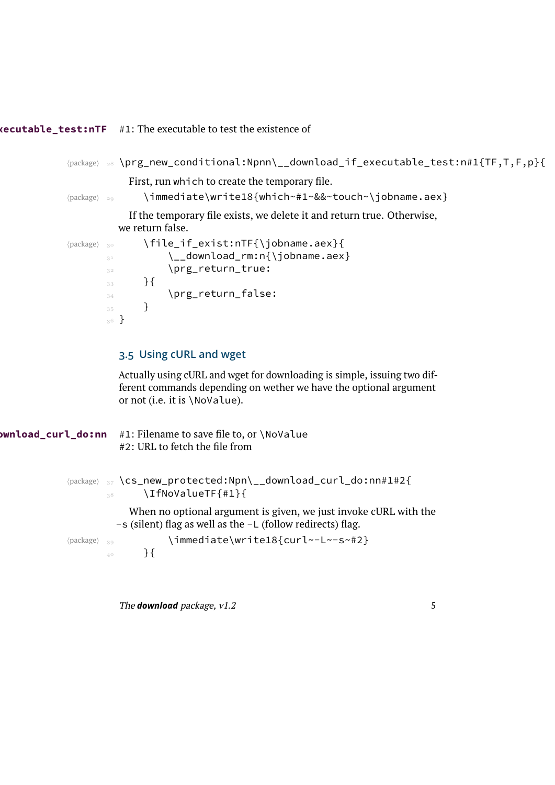#### **\\_\_download\_if\_executable\_test:nTF** #1: The executable to test the existence of

```
hpackagei  \prg_new_conditional:Npnn\__download_if_executable_test:n#1{TF,T,F,p}{
            First, run which to create the temporary file.
\package\ 29 \immediate\write18{which~#1~&&~touch~\jobname.aex}
            If the temporary file exists, we delete it and return true. Otherwise,
         we return false.
\langle package) \ 30 \file_if_exist:nTF{\jobname.aex}{
       <sup>31</sup> \__download_rm:n{\jobname.aex}
        32 \prg_return_true:
        33 \qquad \qquad \}\sup_{34} \prg_return_false:
        <sup>35</sup> }
       36 }
          3.5 Using cURL and wget
          Actually using cURL and wget for downloading is simple, issuing two dif-
```
ferent commands depending on wether we have the optional argument or not (i.e. it is \NoValue).

```
ownload curl do:nn #1: Filename to save file to, or \NoValue
                       #2: URL to fetch the file from
            (package) _3 \cs_new_protected:Npn\__download_curl_do:nn#1#2{
                    \frac{38}{ } \IfNoValueTF{#1}{
                         When no optional argument is given, we just invoke cURL with the
                      -s (silent) flag as well as the -L (follow redirects) flag.
            (package) 39 \immediate\write18{curl~-L~-s~#2}
                    40 }{
```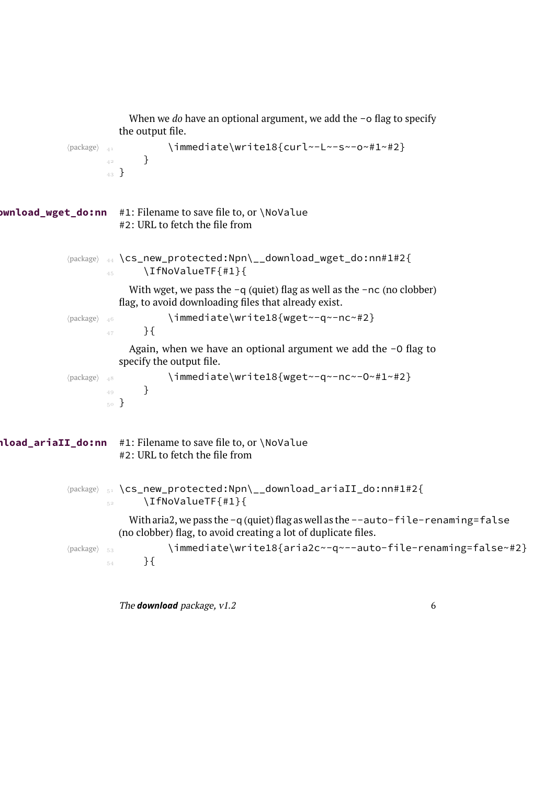```
When we do have an optional argument, we add the -o flag to specify
                        the output file.
             \langle package) \{<sub>41</sub> \{ immediate\write18{curl~-L~-s~-o~#1~#2}
                     42 }
                     43 }
ownload_wget_do:nn #1: Filename to save file to, or \NoValue
                        #2: URL to fetch the file from
             hpackagei  \cs_new_protected:Npn\__download_wget_do:nn#1#2{
                     \Lambda<sub>45</sub> \IfNoValueTF{#1}{
                          With wget, we pass the -q (quiet) flag as well as the -nc (no clobber)
                        flag, to avoid downloading files that already exist.
             (package) 46 \immediate\write18{wget~-q~-nc~#2}
                     _{47} } {
                          Again, when we have an optional argument we add the -O flag to
                        specify the output file.
             hpackagei  \immediate\write18{wget~-q~-nc~-O~#1~#2}
                     49 }
                     50 }
\\\doad_ariaII_do:nn #1: Filename to save file to, or \NoValue
                        #2: URL to fetch the file from
             (package) <sub>51</sub> \cs_new_protected:Npn\__download_ariaII_do:nn#1#2{
                     \sum_{5^2} \IfNoValueTF{#1}{
                          With aria2, we pass the -q (quiet) flag as well as the --auto-file-renaming=false
                        (no clobber) flag, to avoid creating a lot of duplicate files.
             (package) <sub>53</sub> \immediate\write18{aria2c~-q~--auto-file-renaming=false~#2}
                     \frac{54}{ } } {
```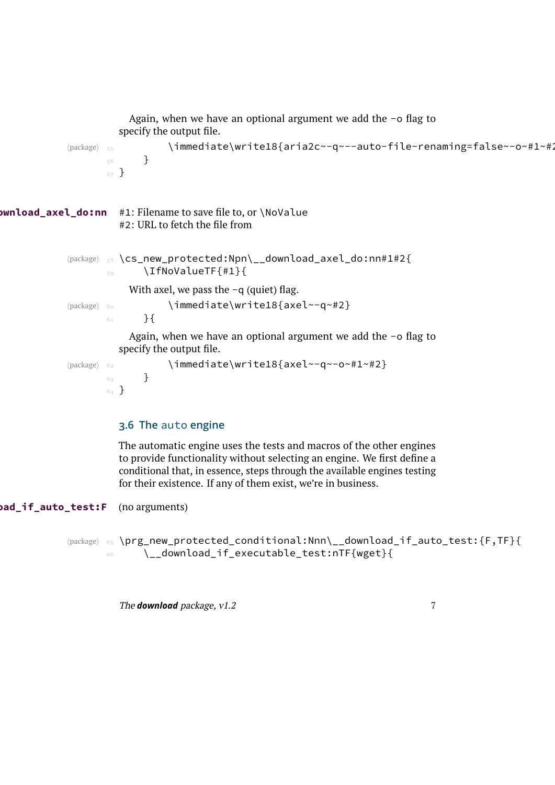```
Again, when we have an optional argument we add the -o flag to
                      specify the output file.
            /package) 55 \immediate\write18{aria2c~-q~--auto-file-renaming=false~-o~#1~#2
                   56 }
                   57}
ownload_axel_do:nn #1: Filename to save file to, or \NoValue
                      #2: URL to fetch the file from
            hpackagei  \cs_new_protected:Npn\__download_axel_do:nn#1#2{
                   \sim \IfNoValueTF{#1}{
                        With axel, we pass the -q (quiet) flag.
            (package) 60 \immediate\write18{axel~-q~#2}
                   61 }{
                        Again, when we have an optional argument we add the -o flag to
                      specify the output file.
            \langle package) 62 <br>
\{inmediate\write18{axe1~-q~-o~#1~#2}\}63 }
                   64 \, }
```
#### **3.6 The** auto **engine**

The automatic engine uses the tests and macros of the other engines to provide functionality without selecting an engine. We first define a conditional that, in essence, steps through the available engines testing for their existence. If any of them exist, we're in business.

**ad\_if\_auto\_test:F** (no arguments)

(package) 65 \prg\_new\_protected\_conditional:Nnn\\_\_download\_if\_auto\_test:{F,TF}{ \\_\_download\_if\_executable\_test:nTF{wget}{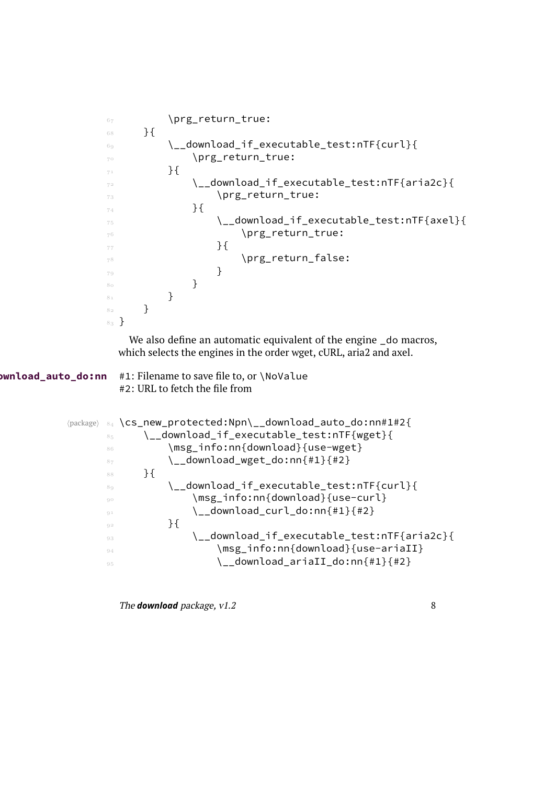```
\delta_7 \prg_return_true:
                68 }{
                 \__download_if_executable_test:nTF{curl}{
                 \prg_return_true:
                          }{
                 \__download_if_executable_test:nTF{aria2c}{
                T3 \prg_return_true:
                _{74} } {
                 \__download_if_executable_test:nTF{axel}{
                                     \prg_return_true:
                                  }{
                                     \prg_return_false:
                \sim 79
                80 and \} }
                82 }
                <sub>83</sub> }
                   We also define an automatic equivalent of the engine do macros,
                  which selects the engines in the order wget, cURL, aria2 and axel.
ownload_auto_do:nn #1: Filename to save file to, or \NoValue
                  #2: URL to fetch the file from
          \package\ 84 \cs_new_protected:Npn\__download_auto_do:nn#1#2{
                85 \__download_if_executable_test:nTF{wget}{
                 \msg_info:nn{download}{use-wget}
                \frac{87}{ } \__download_wget_do:nn{#1}{#2}
                88 }{
                 \__download_if_executable_test:nTF{curl}{
                 \msg_info:nn{download}{use-curl}
                \sum_{\mathbb{S}^1} download_curl_do:nn{#1}{#2}
                \frac{1}{2} } {
                \Box download if executable test:nTF{aria2c}{
                \mathbb{S}_4 \in \{m\in\{download\}\{use-arrival\}\sum_{95} download_ariaII_do:nn{#1}{#2}
```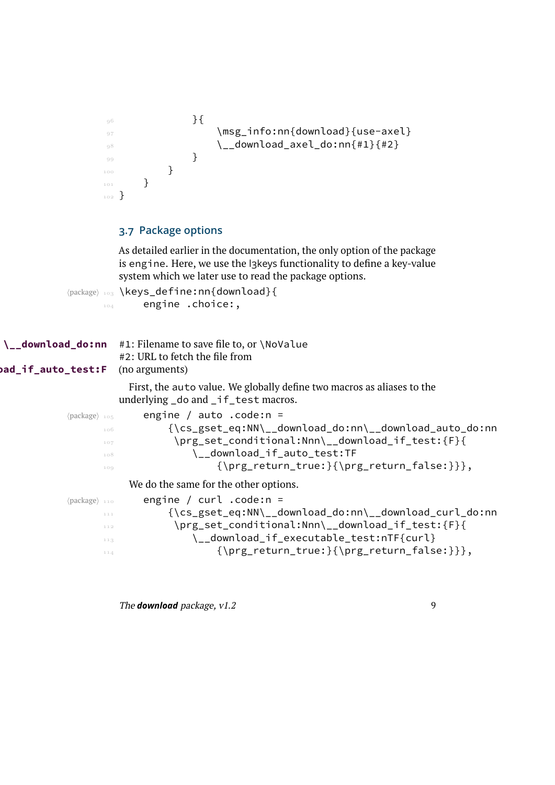```
 }{
 \msg_info:nn{download}{use-axel}
\lambda download_axel_do:nn{#1}{#2}
 }
100 }
101 }
102 }
```
# **3.7 Package options**

As detailed earlier in the documentation, the only option of the package is engine. Here, we use the l3keys functionality to define a key-value system which we later use to read the package options.

(package) 103 \keys\_define:nn{download}{ 104 engine .choice:,

| \__ <b>download_do:nn</b> #1: Filename to save file to, or \NoValue<br>#2: URL to fetch the file from<br><b>ad_if_auto_test:F</b><br>(no arguments) |  |  |  |  |
|-----------------------------------------------------------------------------------------------------------------------------------------------------|--|--|--|--|
| First, the auto value. We globally define two macros as aliases to the<br>underlying _do and _if_test macros.                                       |  |  |  |  |
| engine / auto .code: $n =$<br>$\langle$ package $\rangle$ 105                                                                                       |  |  |  |  |
| {\cs_gset_eq:NN\__download_do:nn\__download_auto_do:nn<br>106                                                                                       |  |  |  |  |
| \prg_set_conditional:Nnn\__download_if_test:{F}{<br>107                                                                                             |  |  |  |  |
| \__download_if_auto_test:TF<br>108                                                                                                                  |  |  |  |  |
| $\{\prg_return_time:\}\prg_return_false:\}\$<br>109                                                                                                 |  |  |  |  |
| We do the same for the other options.                                                                                                               |  |  |  |  |
| engine / $curl$ .code:n =<br>$\langle$ package $\rangle$ 110                                                                                        |  |  |  |  |
| {\cs_gset_eq:NN\__download_do:nn\__download_curl_do:nn<br>111                                                                                       |  |  |  |  |
| \prg_set_conditional:Nnn\__download_if_test:{F}{<br>112                                                                                             |  |  |  |  |
| \__download_if_executable_test:nTF{curl}<br>113                                                                                                     |  |  |  |  |
| $\{\prg_return_time:\}\prg_return_false:\}\$<br>114                                                                                                 |  |  |  |  |
|                                                                                                                                                     |  |  |  |  |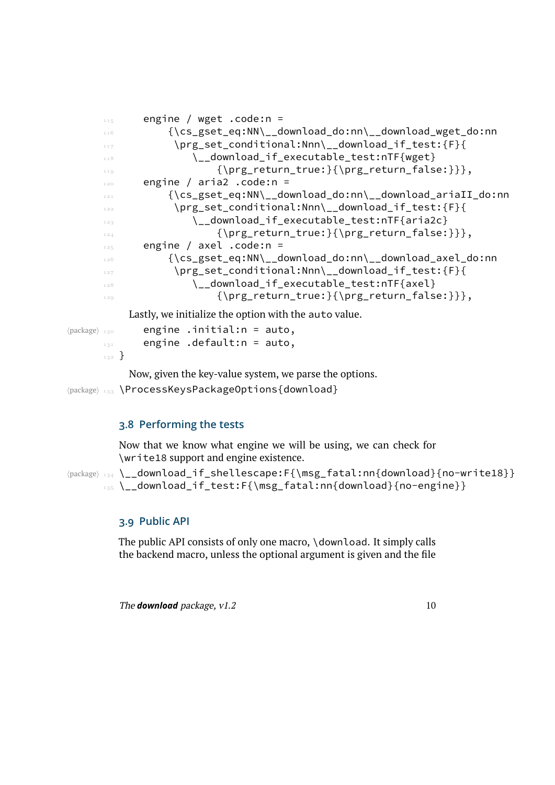```
115 engine / wget .code:n =
       {\cs_gset_eq:NN\__download_do:nn\__download_wget_do:nn
                  \prg_set_conditional:Nnn\__download_if_test:{F}{
      118 \__download_if_executable_test:nTF{wget}
      \{\prg return true:\{\prg return false:\},\\frac{120}{2} engine / aria2 .code:n =
                 {\cs_gset_eq:NN\__download_do:nn\__download_ariaII_do:nn
                  \prg_set_conditional:Nnn\__download_if_test:{F}{
                     \__download_if_executable_test:nTF{aria2c}
                         {\prg_return_true:}{\prg_return_false:}}},
      \frac{125}{125} engine / axel .code:n =
       {\cs_gset_eq:NN\__download_do:nn\__download_axel_do:nn
      \prg_set_conditional:Nnn\__download_if_test:{F}{
       \__download_if_executable_test:nTF{axel}
                         {\prg_return_true:}{\prg_return_false:}}},
          Lastly, we initialize the option with the auto value.
\langlepackage\rangle<sub>130</sub> engine .initial:n = auto,
     E_{131} engine .default:n = auto,
     132 }
```
Now, given the key-value system, we parse the options.

(package) 133 \ProcessKeysPackageOptions{download}

# **3.8 Performing the tests**

Now that we know what engine we will be using, we can check for \write18 support and engine existence.

(package) 134 \\_\_download\_if\_shellescape:F{\msg\_fatal:nn{download}{no-write18}} 135 \\_download\_if\_test:F{\msg\_fatal:nn{download}{no-engine}}

#### **3.9 Public API**

The public API consists of only one macro, \download. It simply calls the backend macro, unless the optional argument is given and the file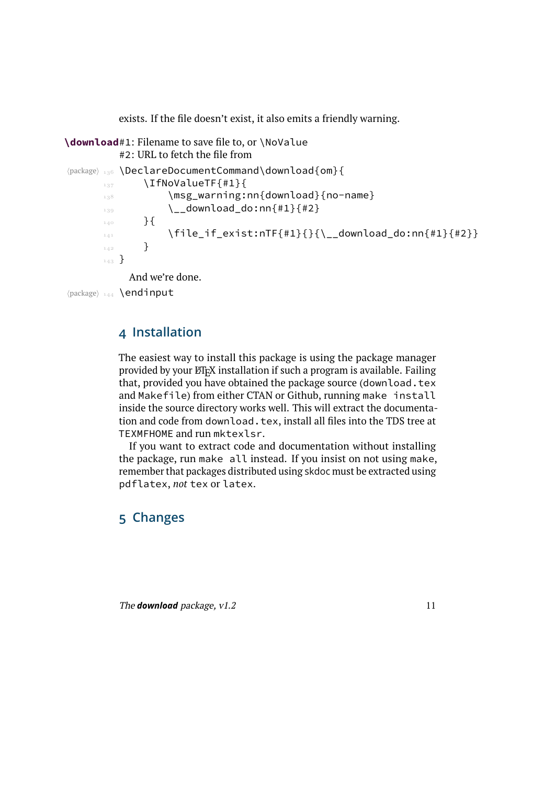<span id="page-10-1"></span><span id="page-10-0"></span>exists. If the file doesn't exist, it also emits a friendly warning.

```
\download#1: Filename to save file to, or \NoValue
          #2: URL to fetch the file from
(package) 136 \DeclareDocumentCommand\download{om}{
       \frac{137}{137} \IfNoValueTF{#1}{
       138 \msg_warning:nn{download}{no-name}
       \lambda_{139} \ __download_do:nn{#1}{#2}
       140 } {
       \frac{1}{141} \file_if_exist:nTF{#1}{}{\__download_do:nn{#1}{#2}}
       \frac{1}{42} }
       _{143} }
            And we're done.
```

```
\langlepackage\rangle 144 \endinput
```
# **4 Installation**

The easiest way to install this package is using the package manager provided by your ETEX installation if such a program is available. Failing that, provided you have obtained the package source (download.tex and Makefile) from either CTAN or Github, running make install inside the source directory works well. This will extract the documentation and code from download.tex, install all files into the TDS tree at TEXMFHOME and run mktexlsr.

If you want to extract code and documentation without installing the package, run make all instead. If you insist on not using make, remember that packages distributed using skdoc must be extracted using pdflatex, *not* tex or latex.

# **5 Changes**

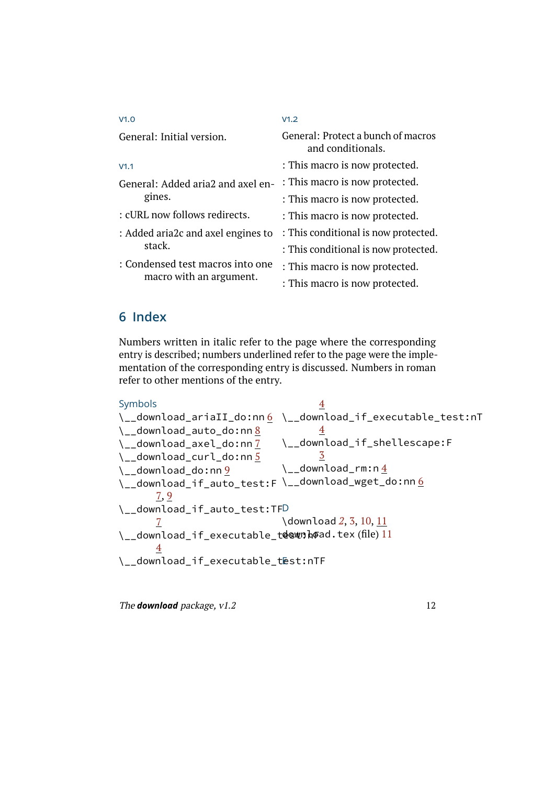| V1.0                               | V1.2                                                    |
|------------------------------------|---------------------------------------------------------|
| General: Initial version.          | General: Protect a bunch of macros<br>and conditionals. |
| V1.1                               | : This macro is now protected.                          |
| General: Added aria2 and axel en-  | : This macro is now protected.                          |
| gines.                             | : This macro is now protected.                          |
| : cURL now follows redirects.      | : This macro is now protected.                          |
| : Added aria2c and axel engines to | : This conditional is now protected.                    |
| stack.                             | : This conditional is now protected.                    |
| : Condensed test macros into one   | : This macro is now protected.                          |
| macro with an argument.            | : This macro is now protected.                          |

# **6 Index**

Numbers written in italic refer to the page where the corresponding entry is described; numbers underlined refer to the page were the implementation of the corresponding entry is discussed. Numbers in roman refer to other mentions of the entry.

```
Symbols
6</u> \__download_if_executable_test:nT
\__download_auto_do:nn 8
\__download_axel_do:nn 7
\__download_curl_do:nn 5
9
6</u>
    7,9\__download_if_auto_test:TF
D
    7
11
    4
\__download_if_executable_test:nTF
                      4
                      4
                  \__download_if_shellescape:F
                      3
                  \_{\_download\_rm:n}23,10,11
```